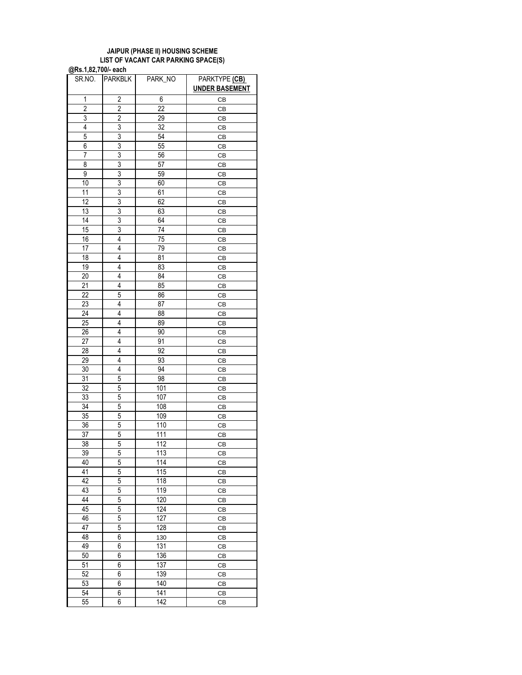## **JAIPUR (PHASE II) HOUSING SCHEME LIST OF VACANT CAR PARKING SPACE(S) @Rs.1,82,700/- each**

SR.NO. PARKBLK PARK\_NO PARKTYPE (CB) **UNDER BASEMENT** 1 2 6 CB 2 2 22 CB 3 2 29 CB 4 3 32 CB 5 3 54 CB 6 3 55 CB 7 3 56 CB 8 3 57 CB 9 3 59 CB 10 3 60 CB 11 3 61 CB 12 3 62 CB 13 3 63 CB 14 3 64 CB 15 3 74 CB 16 | 4 | 75 | CB 17 | 4 | 79 | CB 18 4 81 CB 19 | 4 | 83 | CB 20 4 84 CB 21 | 4 | 85 | CB 22 | 5 | 86 | CB 23 4 87 CB 24 | 4 | 88 | CB 25 4 89 CB 26 | 4 | 90 | CB 27 | 4 | 91 | CB 28 4 92 CB 29 | 4 | 93 | CB 30 4 94 CB 31 | 5 | 98 | CB 32 | 5 | 101 | CB 33 5 107 CB 34 | 5 | 108 | CB 35 5 109 CB 36 | 5 | 110 | CB 37 | 5 | 111 | CB 38 | 5 | 112 | CB 39 | 5 | 113 | CB 40 5 114 CB 41 | 5 | 115 | CB 42 | 5 | 118 | CB 43 5 119 CB 44 | 5 | 120 | CB 45 | 5 | 124 | CB 46 5 127 CB 47 | 5 | 128 | CB 48 6 130 CB 49 | 6 | 131 | CB 50 6 136 CB 51 6 137 CB 52 6 139 CB 53 6 140 CB 54 6 141 CB 55 **6 142 CB**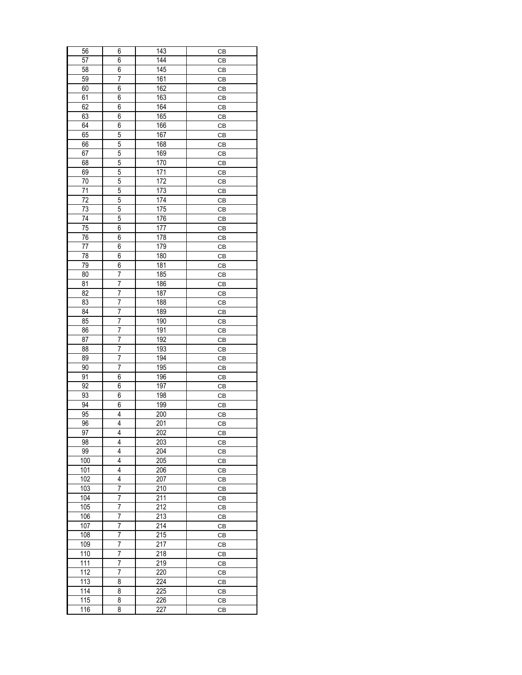| 56              | 6                       | 143              | CB |
|-----------------|-------------------------|------------------|----|
| 57              | 6                       | 144              | CB |
| 58              | 6                       | 145              | СB |
| 59              | 7                       | 161              | СB |
| 60              | 6                       | 162              | СB |
| 61              | 6                       | 163              | СB |
| 62              | 6                       | 164              | СB |
| 63              | 6                       | 165              | СB |
| 64              | 6                       | 166              | CB |
| 65              | 5                       | 167              | CB |
| 66              | 5                       | 168              | СB |
| 67              | 5                       | 169              | СB |
| 68              | 5                       | 170              | СB |
| 69              | 5                       | 171              | СB |
| 70              | 5                       | 172              | СB |
| 71              | 5                       | 173              | CB |
| 72              | $\overline{5}$          | $\overline{174}$ | СB |
| 73              | 5                       | 175              | СB |
| 74              | 5                       | 176              | СB |
| 75              | 6                       | 177              | СB |
| 76              | 6                       | 178              | CB |
| 77              | 6                       | 179              | CB |
| 78              | 6                       | 180              | СB |
| 79              | 6                       | 181              | СB |
| 80              | 7                       | 185              | СB |
|                 |                         |                  |    |
| 81              | 7<br>7                  | 186              | СB |
| $\overline{82}$ |                         | 187              | СB |
| 83              | $\overline{7}$          | 188              | СB |
| 84              | $\overline{7}$          | 189              | СB |
| 85              | 7                       | 190              | CB |
| 86              | 7                       | 191              | СB |
| 87              | 7                       | 192              | СB |
| 88              | 7                       | 193              | СB |
| 89              | 7                       | 194              | СB |
| 90              | 7                       | 195              | СB |
| 91              | 6                       | 196              | СB |
| 92              | 6                       | 197              | CB |
| 93              | 6                       | 198              | СB |
| 94              | 6                       | 199              | СB |
| 95              | 4                       | 200              | СB |
| 96              | 4                       | 201              | CВ |
| 97              | 4                       | 202              | CB |
| 98              | $\overline{\mathbf{4}}$ | 203              | CB |
| 99              | 4                       | 204              | CВ |
| 100             | 4                       | 205              | CB |
| 101             | 4                       | 206              | CB |
| 102             | 4                       | 207              | СB |
| 103             | 7                       | 210              | CB |
| 104             | 7                       | 211              | СB |
| 105             | 7                       | 212              | СB |
| 106             | 7                       | 213              | СB |
| 107             | 7                       | 214              | СB |
| 108             | 7                       | 215              | СB |
| 109             | 7                       | 217              | CB |
| 110             | 7                       | 218              | CВ |
| 111             | $\overline{7}$          | 219              | CB |
| 112             | 7                       | 220              | CB |
| 113             | 8                       | 224              | CB |
| 114             | 8                       | 225              | CB |
| 115             | 8                       | 226              | СB |
| 116             | 8                       | 227              | CB |
|                 |                         |                  |    |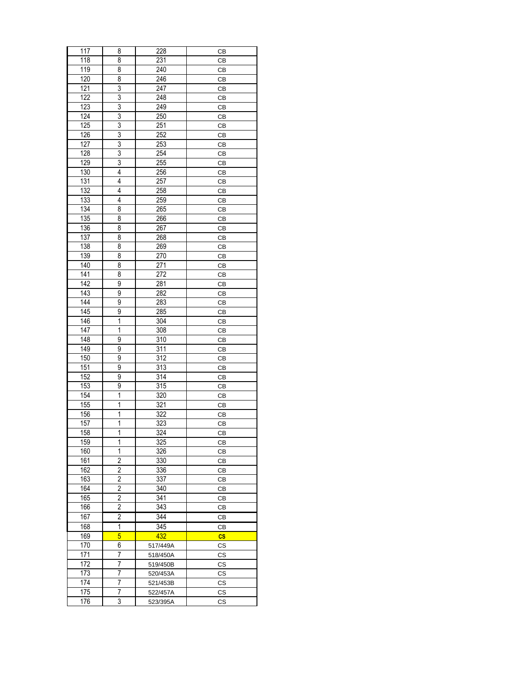| 117              | 8              | 228              | CВ        |
|------------------|----------------|------------------|-----------|
| 118              | 8              | 231              | CB        |
| 119              | 8              | 240              | СB        |
| 120              | 8              | 246              | СB        |
| 121              | 3              | 247              | CB        |
| $\overline{122}$ | $\overline{3}$ | 248              | СB        |
| 123              | 3              | 249              | CB        |
| $\overline{124}$ | 3              | 250              | СB        |
| 125              | 3              | $\overline{251}$ | CB        |
| 126              | 3              | 252              | СB        |
| $\overline{127}$ | 3              | 253              | CB        |
| 128              | $\overline{3}$ | 254              |           |
| 129              | $\overline{3}$ | 255              | СB<br>СB  |
|                  |                |                  |           |
| 130              | 4              | 256              | СB        |
| 131              | 4              | 257              | СB        |
| 132              | 4              | 258              | CB        |
| $\overline{133}$ | $\overline{4}$ | 259              | СB        |
| 134              | 8              | 265              | CB        |
| 135              | 8              | 266              | СB        |
| 136              | 8              | 267              | CB        |
| 137              | 8              | 268              | CB        |
| 138              | 8              | 269              | СB        |
| 139              | 8              | 270              | СB        |
| 140              | 8              | $\overline{271}$ | СB        |
| 141              | 8              | 272              | СB        |
| 142              | 9              | 281              | CB        |
| $\overline{143}$ | 9              | 282              | CB        |
| $\overline{144}$ | 9              | 283              | СB        |
| $\overline{145}$ | 9              | 285              | СB        |
| 146              | 1              | 304              | CB        |
| 147              | 1              | 308              | СB        |
| 148              | 9              | 310              | CB        |
| 149              | 9              | $\overline{311}$ | СB        |
| 150              | 9              | 312              | СB        |
| 151              | 9              | 313              | СB        |
| 152              | 9              | $\overline{314}$ | СB        |
| 153              | 9              | 315              | CB        |
| 154              | $\mathbf{1}$   | 320              |           |
|                  |                | 321              | CB        |
| 155              | 1              | $\overline{322}$ | СB        |
| 156              | 1              |                  | CВ        |
| 157              | 1              | 323              | CВ        |
| 158              | 1              | 324              | CВ        |
| 159              | 1              | 325              | CВ        |
| 160              | 1              | 326              | CВ        |
| 161              | $\overline{2}$ | 330              | <b>CB</b> |
| 162              | 2              | 336              | CВ        |
| 163              | $\overline{c}$ | 337              | CB        |
| 164              | 2              | 340              | CВ        |
| 165              | 2              | 341              | СB        |
| 166              | $\overline{2}$ | 343              | CВ        |
| 167              | $\overline{2}$ | 344              | CB        |
| 168              | 1              | 345              | CВ        |
| 169              | $\overline{5}$ | 432              | $\csc$    |
| 170              | 6              | 517/449A         | <b>CS</b> |
| 171              | 7              | 518/450A         | СS        |
| 172              | 7              | 519/450B         | CS        |
| 173              | 7              | 520/453A         | <b>CS</b> |
| 174              | 7              | 521/453B         | <b>CS</b> |
| 175              | 7              | 522/457A         | <b>CS</b> |
| 176              | 3              |                  |           |
|                  |                | 523/395A         | СS        |